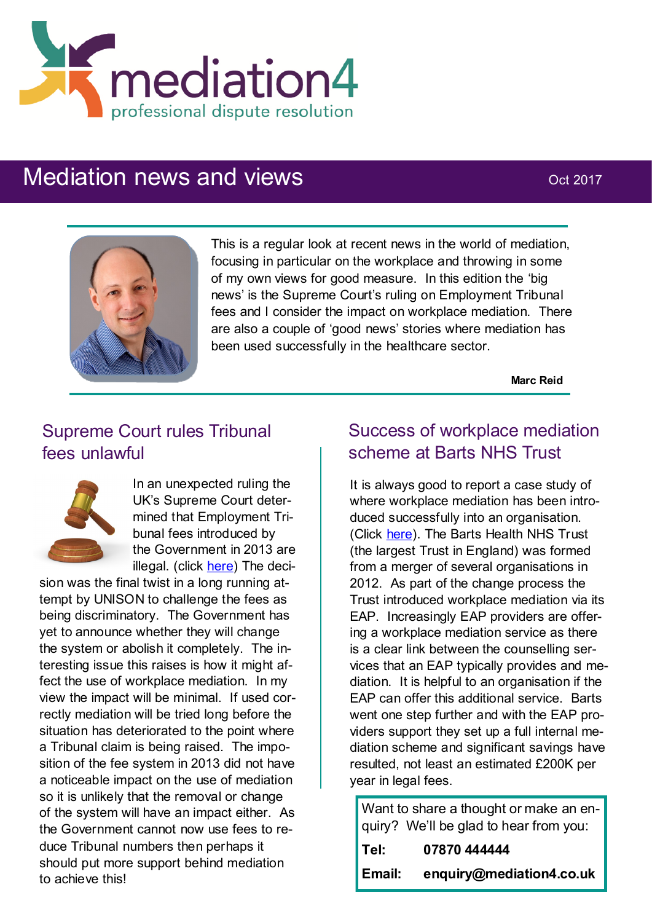

# Mediation news and views **Mediation** news and views



This is a regular look at recent news in the world of mediation, focusing in particular on the workplace and throwing in some of my own views for good measure. In this edition the 'big news' is the Supreme Court's ruling on Employment Tribunal fees and I consider the impact on workplace mediation. There are also a couple of 'good news' stories where mediation has been used successfully in the healthcare sector.

**Marc Reid**

#### Supreme Court rules Tribunal fees unlawful



In an unexpected ruling the UK's Supreme Court determined that Employment Tribunal fees introduced by the Government in 2013 are illegal. (click [here\)](http://www.telegraph.co.uk/news/2017/07/26/governments-employment-tribunal-fees-illegal-supreme-court-rules/) The deci-

sion was the final twist in a long running attempt by UNISON to challenge the fees as being discriminatory. The Government has yet to announce whether they will change the system or abolish it completely. The interesting issue this raises is how it might affect the use of workplace mediation. In my view the impact will be minimal. If used correctly mediation will be tried long before the situation has deteriorated to the point where a Tribunal claim is being raised. The imposition of the fee system in 2013 did not have a noticeable impact on the use of mediation so it is unlikely that the removal or change of the system will have an impact either. As the Government cannot now use fees to reduce Tribunal numbers then perhaps it should put more support behind mediation to achieve this!

#### Success of workplace mediation scheme at Barts NHS Trust

It is always good to report a case study of where workplace mediation has been introduced successfully into an organisation. (Click [here\).](http://www.personneltoday.com/hr/how-workplace-mediation-reduced-conflict-and-stress-during-barts-hospital-merger/) The Barts Health NHS Trust (the largest Trust in England) was formed from a merger of several organisations in 2012. As part of the change process the Trust introduced workplace mediation via its EAP. Increasingly EAP providers are offering a workplace mediation service as there is a clear link between the counselling services that an EAP typically provides and mediation. It is helpful to an organisation if the EAP can offer this additional service. Barts went one step further and with the EAP providers support they set up a full internal mediation scheme and significant savings have resulted, not least an estimated £200K per year in legal fees.

Want to share a thought or make an enquiry? We'll be glad to hear from you: **Tel: 07870 444444 Email: enquiry@mediation4.co.uk**